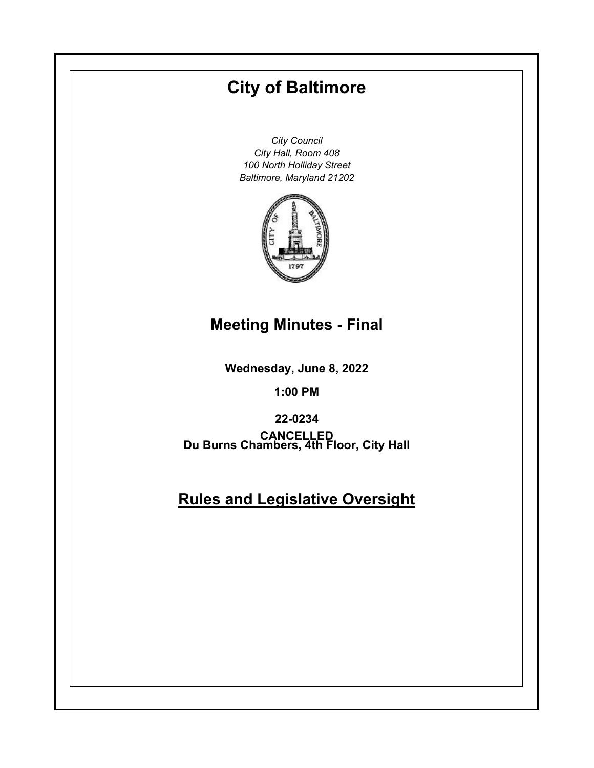# **City of Baltimore**

*City Council City Hall, Room 408 100 North Holliday Street Baltimore, Maryland 21202*



## **Meeting Minutes - Final**

**Wednesday, June 8, 2022**

**1:00 PM**

**Du Burns Chambers, 4th Floor, City Hall 22-0234 CANCELLED**

## **Rules and Legislative Oversight**